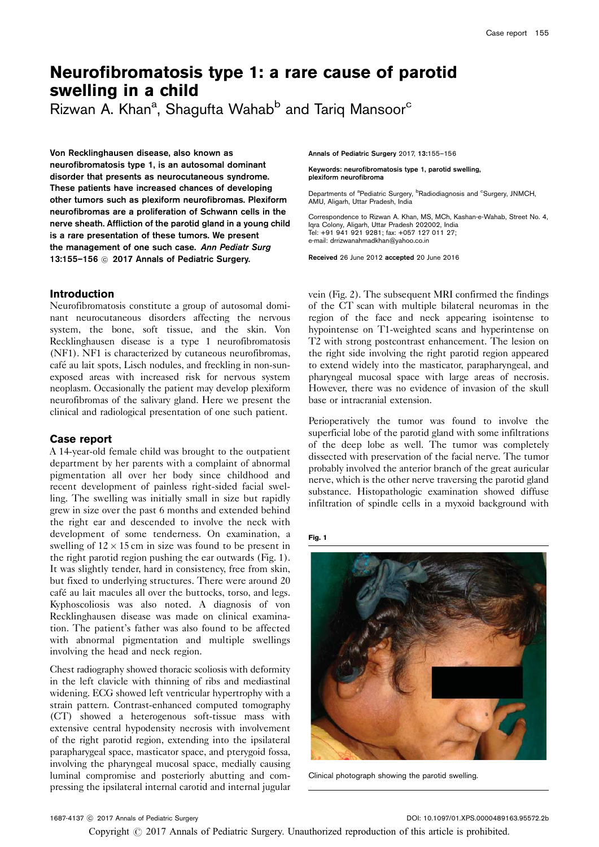# Neurofibromatosis type 1: a rare cause of parotid swelling in a child

Rizwan A. Khan<sup>a</sup>, Shagufta Wahab<sup>b</sup> and Tariq Mansoor<sup>c</sup>

Von Recklinghausen disease, also known as neurofibromatosis type 1, is an autosomal dominant disorder that presents as neurocutaneous syndrome. These patients have increased chances of developing other tumors such as plexiform neurofibromas. Plexiform neurofibromas are a proliferation of Schwann cells in the nerve sheath. Affliction of the parotid gland in a young child is a rare presentation of these tumors. We present the management of one such case. Ann Pediatr Surg 13:155-156 @ 2017 Annals of Pediatric Surgery.

## **Introduction**

Neurofibromatosis constitute a group of autosomal dominant neurocutaneous disorders affecting the nervous system, the bone, soft tissue, and the skin. Von Recklinghausen disease is a type 1 neurofibromatosis (NF1). NF1 is characterized by cutaneous neurofibromas, café au lait spots, Lisch nodules, and freckling in non-sunexposed areas with increased risk for nervous system neoplasm. Occasionally the patient may develop plexiform neurofibromas of the salivary gland. Here we present the clinical and radiological presentation of one such patient.

## Case report

A 14-year-old female child was brought to the outpatient department by her parents with a complaint of abnormal pigmentation all over her body since childhood and recent development of painless right-sided facial swelling. The swelling was initially small in size but rapidly grew in size over the past 6 months and extended behind the right ear and descended to involve the neck with development of some tenderness. On examination, a swelling of  $12 \times 15$  cm in size was found to be present in the right parotid region pushing the ear outwards (Fig. 1). It was slightly tender, hard in consistency, free from skin, but fixed to underlying structures. There were around 20 café au lait macules all over the buttocks, torso, and legs. Kyphoscoliosis was also noted. A diagnosis of von Recklinghausen disease was made on clinical examination. The patient's father was also found to be affected with abnormal pigmentation and multiple swellings involving the head and neck region.

Chest radiography showed thoracic scoliosis with deformity in the left clavicle with thinning of ribs and mediastinal widening. ECG showed left ventricular hypertrophy with a strain pattern. Contrast-enhanced computed tomography (CT) showed a heterogenous soft-tissue mass with extensive central hypodensity necrosis with involvement of the right parotid region, extending into the ipsilateral parapharygeal space, masticator space, and pterygoid fossa, involving the pharyngeal mucosal space, medially causing luminal compromise and posteriorly abutting and compressing the ipsilateral internal carotid and internal jugular

Annals of Pediatric Surgery 2017, 13:155–156

Keywords: neurofibromatosis type 1, parotid swelling, plexiform neurofibroma

Departments of <sup>a</sup>Pediatric Surgery, <sup>b</sup>Radiodiagnosis and <sup>c</sup>Surgery, JNMCH, AMU, Aligarh, Uttar Pradesh, India

Correspondence to Rizwan A. Khan, MS, MCh, Kashan-e-Wahab, Street No. 4, Iqra Colony, Aligarh, Uttar Pradesh 202002, India Tel: +91 941 921 9281; fax: +057 127 011 27; e-mail: [drrizwanahmadkhan@yahoo.co.in](mailto:drrizwanahmadkhan@yahoo.co.in)

Received 26 June 2012 accepted 20 June 2016

vein [\(Fig. 2\)](#page-1-0). The subsequent MRI confirmed the findings of the CT scan with multiple bilateral neuromas in the region of the face and neck appearing isointense to hypointense on T1-weighted scans and hyperintense on T2 with strong postcontrast enhancement. The lesion on the right side involving the right parotid region appeared to extend widely into the masticator, parapharyngeal, and pharyngeal mucosal space with large areas of necrosis. However, there was no evidence of invasion of the skull base or intracranial extension.

Perioperatively the tumor was found to involve the superficial lobe of the parotid gland with some infiltrations of the deep lobe as well. The tumor was completely dissected with preservation of the facial nerve. The tumor probably involved the anterior branch of the great auricular nerve, which is the other nerve traversing the parotid gland substance. Histopathologic examination showed diffuse infiltration of spindle cells in a myxoid background with

Fig. 1



Clinical photograph showing the parotid swelling.

c 2017 Annals of Pediatric Surgery DOI: 10.1097/01.XPS.0000489163.95572.2b

Copyright  $\odot$  2017 Annals of Pediatric Surgery. Unauthorized reproduction of this article is prohibited.